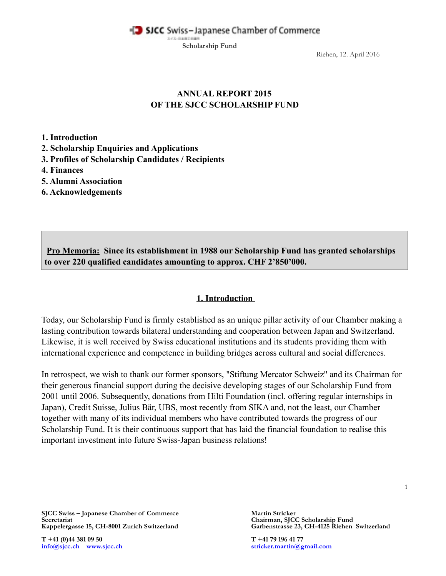SJCC Swiss-Japanese Chamber of Commerce

**Scholarship Fund**

スイスーの出版工の場所

Riehen, 12. April 2016

## **ANNUAL REPORT 2015 OF THE SJCC SCHOLARSHIP FUND**

**1. Introduction** 

**2. Scholarship Enquiries and Applications** 

**3. Profiles of Scholarship Candidates / Recipients** 

**4. Finances** 

**5. Alumni Association** 

**6. Acknowledgements** 

**Pro Memoria: Since its establishment in 1988 our Scholarship Fund has granted scholarships to over 220 qualified candidates amounting to approx. CHF 2'850'000.** 

## **1. Introduction**

Today, our Scholarship Fund is firmly established as an unique pillar activity of our Chamber making a lasting contribution towards bilateral understanding and cooperation between Japan and Switzerland. Likewise, it is well received by Swiss educational institutions and its students providing them with international experience and competence in building bridges across cultural and social differences.

In retrospect, we wish to thank our former sponsors, "Stiftung Mercator Schweiz" and its Chairman for their generous financial support during the decisive developing stages of our Scholarship Fund from 2001 until 2006. Subsequently, donations from Hilti Foundation (incl. offering regular internships in Japan), Credit Suisse, Julius Bär, UBS, most recently from SIKA and, not the least, our Chamber together with many of its individual members who have contributed towards the progress of our Scholarship Fund. It is their continuous support that has laid the financial foundation to realise this important investment into future Swiss-Japan business relations!

1

**SJCC Swiss – Japanese Chamber of Commerce Martin Stricker Martin Stricker Secretariat Chairman, SJCC** Kappelergasse 15, CH-8001 Zurich Switzerland

**T** +41 (0)44 381 09 50<br> **T** +41 79 196 41 77<br> **Info@sicc.ch**<br> **Info@sicc.ch**<br> **Info@sicc.ch**<br> **Info@sicc.ch**<br> **I** 

**Secretariat Chairman, SJCC Scholarship Fund**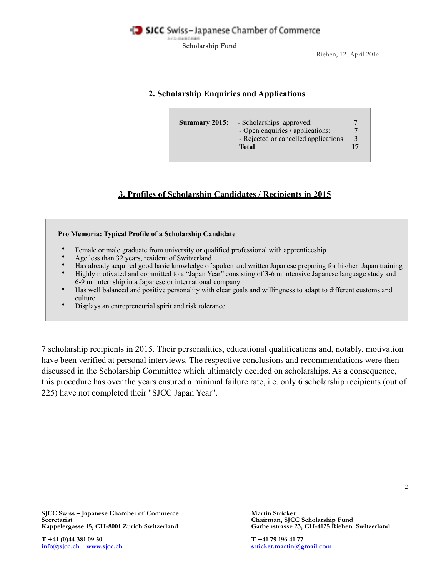

**Scholarship Fund**

Riehen, 12. April 2016

## **2. Scholarship Enquiries and Applications**

| - Scholarships approved:<br><b>Summary 2015:</b><br>- Open enquiries / applications:<br>- Rejected or cancelled applications:<br><b>Total</b> | 3 |
|-----------------------------------------------------------------------------------------------------------------------------------------------|---|
|-----------------------------------------------------------------------------------------------------------------------------------------------|---|

# **3. Profiles of Scholarship Candidates / Recipients in 2015**

#### **Pro Memoria: Typical Profile of a Scholarship Candidate**

- Female or male graduate from university or qualified professional with apprenticeship
- Age less than 32 years, resident of Switzerland
- Has already acquired good basic knowledge of spoken and written Japanese preparing for his/her Japan training
- Highly motivated and committed to a "Japan Year" consisting of 3-6 m intensive Japanese language study and 6-9 m internship in a Japanese or international company
- Has well balanced and positive personality with clear goals and willingness to adapt to different customs and culture
- Displays an entrepreneurial spirit and risk tolerance

7 scholarship recipients in 2015. Their personalities, educational qualifications and, notably, motivation have been verified at personal interviews. The respective conclusions and recommendations were then discussed in the Scholarship Committee which ultimately decided on scholarships. As a consequence, this procedure has over the years ensured a minimal failure rate, i.e. only 6 scholarship recipients (out of 225) have not completed their "SJCC Japan Year".

**T** +41 (0)44 381 09 50<br> **T** +41 79 196 41 77<br> **Info@sicc.ch**<br> **Info@sicc.ch**<br> **Info@sicc.ch**<br> **Info@sicc.ch**<br> **Info@sicc.ch** 

Garbenstrasse 23, CH-4125 Riehen Switzerland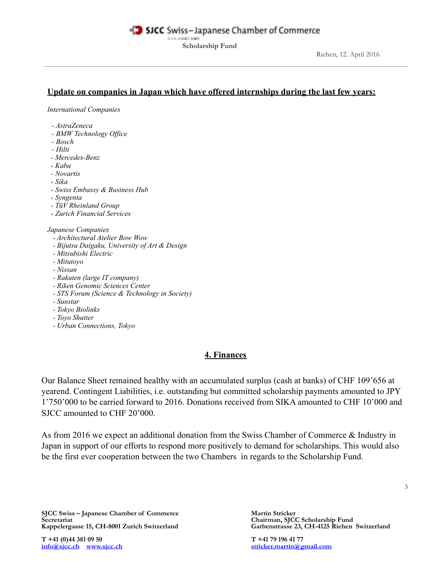#### SICC Swiss-Japanese Chamber of Commerce スイスーの出版工会議

**Scholarship Fund**

## **Update on companies in Japan which have offered internships during the last few years:**

*International Companies* 

- *AstraZeneca*
- *BMW Technology Office*
- *Bosch*
- *Hilti*
- *Mercedes-Benz*
- *Kaba*
- *Novartis*
- *Sika*
- *Swiss Embassy & Business Hub*
- *Syngenta*
- *TüV Rheinland Group*
- *Zurich Financial Services*

#### *Japanese Companies*

- *Architectural Atelier Bow Wow*
- *Bijutsu Daigaku, University of Art & Design*
- *Mitsubishi Electric*
- *Mitutoyo*
- *Nissan*
- *Rakuten (large IT company)*
- *Riken Genomic Sciences Center*
- *STS Forum (Science & Technology in Society)*
- *Sunstar*
- *Tokyo Biolinks*
- *Toyo Shutter*
- *Urban Connections, Tokyo*

### **4. Finances**

Our Balance Sheet remained healthy with an accumulated surplus (cash at banks) of CHF 109'656 at yearend. Contingent Liabilities, i.e. outstanding but committed scholarship payments amounted to JPY 1'750'000 to be carried forward to 2016. Donations received from SIKA amounted to CHF 10'000 and SJCC amounted to CHF 20'000.

As from 2016 we expect an additional donation from the Swiss Chamber of Commerce & Industry in Japan in support of our efforts to respond more positively to demand for scholarships. This would also be the first ever cooperation between the two Chambers in regards to the Scholarship Fund.

**SJCC Swiss – Japanese Chamber of Commerce Martin Stricker Martin Stricker Secretariat Chairman, SJCC** Secretariat Chairman, SJCC Scholarship Fund *Secretariat* Chairman, SJCC Scholarship Fund *Kappelergasse 15, CH-8001 Zurich Switzerland* Garbenstrasse 23, CH-4125 Riehen

**T** +41 (0)44 381 09 50<br> **T** +41 79 196 41 77<br> **Info@sicc.ch**<br> **Info@sicc.ch**<br> **Info@sicc.ch**<br> **Info@sicc.ch**<br> **Info@sicc.ch** 

Garbenstrasse 23, CH-4125 Riehen Switzerland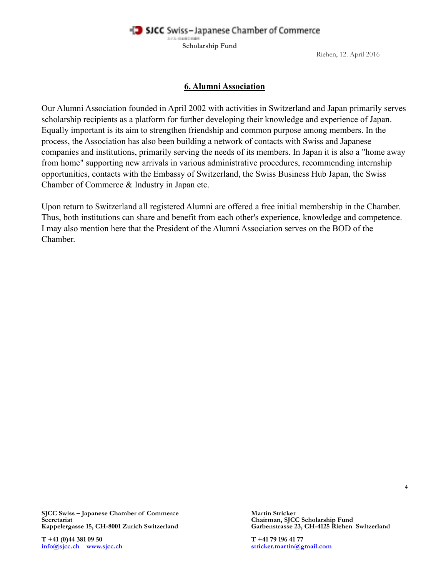SICC Swiss-Japanese Chamber of Commerce スイス·日本時での場所

**Scholarship Fund**

Riehen, 12. April 2016

#### **6. Alumni Association**

Our Alumni Association founded in April 2002 with activities in Switzerland and Japan primarily serves scholarship recipients as a platform for further developing their knowledge and experience of Japan. Equally important is its aim to strengthen friendship and common purpose among members. In the process, the Association has also been building a network of contacts with Swiss and Japanese companies and institutions, primarily serving the needs of its members. In Japan it is also a "home away from home" supporting new arrivals in various administrative procedures, recommending internship opportunities, contacts with the Embassy of Switzerland, the Swiss Business Hub Japan, the Swiss Chamber of Commerce & Industry in Japan etc.

Upon return to Switzerland all registered Alumni are offered a free initial membership in the Chamber. Thus, both institutions can share and benefit from each other's experience, knowledge and competence. I may also mention here that the President of the Alumni Association serves on the BOD of the Chamber.

**SJCC Swiss – Japanese Chamber of Commerce Martin Stricker Martin Stricker Secretariat Chairman, SJCC** Kappelergasse 15, CH-8001 Zurich Switzerland

**T +41 (0)44 381 09 50 T +41 79 196 41 77 [info@sjcc.ch](mailto:info@sjcc.ch)**<br>**[www.sjcc.ch](http://www.sjcc.ch)** 

**Secretariat Chairman, SJCC Scholarship Fund** 

4